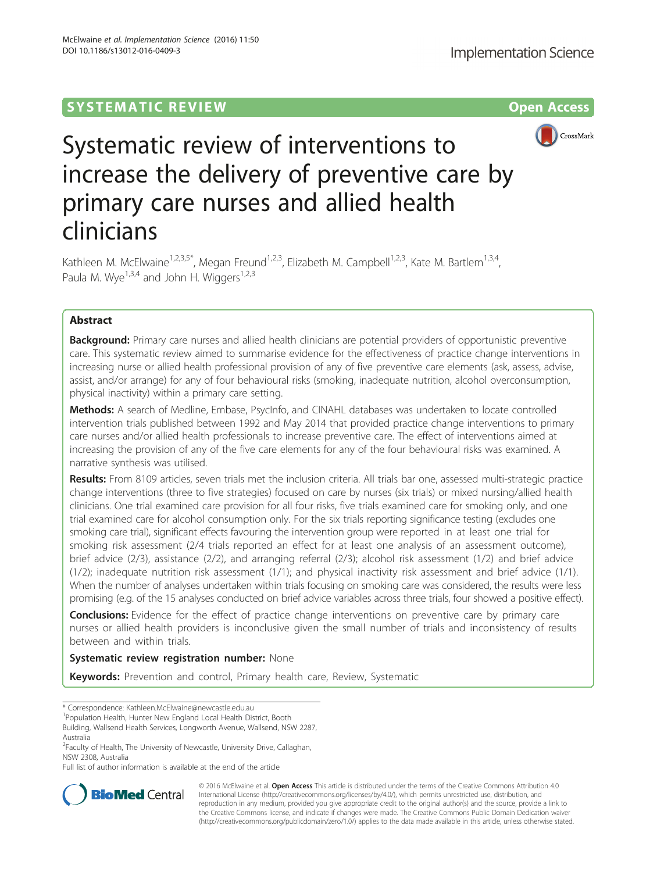## **SYSTEMATIC REVIEW ACCESS OPEN ACCESS**



# Systematic review of interventions to increase the delivery of preventive care by primary care nurses and allied health clinicians

Kathleen M. McElwaine<sup>1,2,3,5\*</sup>, Megan Freund<sup>1,2,3</sup>, Elizabeth M. Campbell<sup>1,2,3</sup>, Kate M. Bartlem<sup>1,3,4</sup>, Paula M. Wye<sup>1,3,4</sup> and John H. Wiggers<sup>1,2,3</sup>

## Abstract

**Background:** Primary care nurses and allied health clinicians are potential providers of opportunistic preventive care. This systematic review aimed to summarise evidence for the effectiveness of practice change interventions in increasing nurse or allied health professional provision of any of five preventive care elements (ask, assess, advise, assist, and/or arrange) for any of four behavioural risks (smoking, inadequate nutrition, alcohol overconsumption, physical inactivity) within a primary care setting.

Methods: A search of Medline, Embase, PsycInfo, and CINAHL databases was undertaken to locate controlled intervention trials published between 1992 and May 2014 that provided practice change interventions to primary care nurses and/or allied health professionals to increase preventive care. The effect of interventions aimed at increasing the provision of any of the five care elements for any of the four behavioural risks was examined. A narrative synthesis was utilised.

Results: From 8109 articles, seven trials met the inclusion criteria. All trials bar one, assessed multi-strategic practice change interventions (three to five strategies) focused on care by nurses (six trials) or mixed nursing/allied health clinicians. One trial examined care provision for all four risks, five trials examined care for smoking only, and one trial examined care for alcohol consumption only. For the six trials reporting significance testing (excludes one smoking care trial), significant effects favouring the intervention group were reported in at least one trial for smoking risk assessment (2/4 trials reported an effect for at least one analysis of an assessment outcome), brief advice (2/3), assistance (2/2), and arranging referral (2/3); alcohol risk assessment (1/2) and brief advice (1/2); inadequate nutrition risk assessment (1/1); and physical inactivity risk assessment and brief advice (1/1). When the number of analyses undertaken within trials focusing on smoking care was considered, the results were less promising (e.g. of the 15 analyses conducted on brief advice variables across three trials, four showed a positive effect).

**Conclusions:** Evidence for the effect of practice change interventions on preventive care by primary care nurses or allied health providers is inconclusive given the small number of trials and inconsistency of results between and within trials.

## Systematic review registration number: None

**Keywords:** Prevention and control, Primary health care, Review, Systematic

\* Correspondence: [Kathleen.McElwaine@newcastle.edu.au](mailto:Kathleen.McElwaine@newcastle.edu.au) <sup>1</sup>

Full list of author information is available at the end of the article



© 2016 McElwaine et al. Open Access This article is distributed under the terms of the Creative Commons Attribution 4.0 International License [\(http://creativecommons.org/licenses/by/4.0/](http://creativecommons.org/licenses/by/4.0/)), which permits unrestricted use, distribution, and reproduction in any medium, provided you give appropriate credit to the original author(s) and the source, provide a link to the Creative Commons license, and indicate if changes were made. The Creative Commons Public Domain Dedication waiver [\(http://creativecommons.org/publicdomain/zero/1.0/](http://creativecommons.org/publicdomain/zero/1.0/)) applies to the data made available in this article, unless otherwise stated.

<sup>&</sup>lt;sup>1</sup> Population Health, Hunter New England Local Health District, Booth

Building, Wallsend Health Services, Longworth Avenue, Wallsend, NSW 2287, Australia

<sup>&</sup>lt;sup>2</sup> Faculty of Health, The University of Newcastle, University Drive, Callaghan, NSW 2308, Australia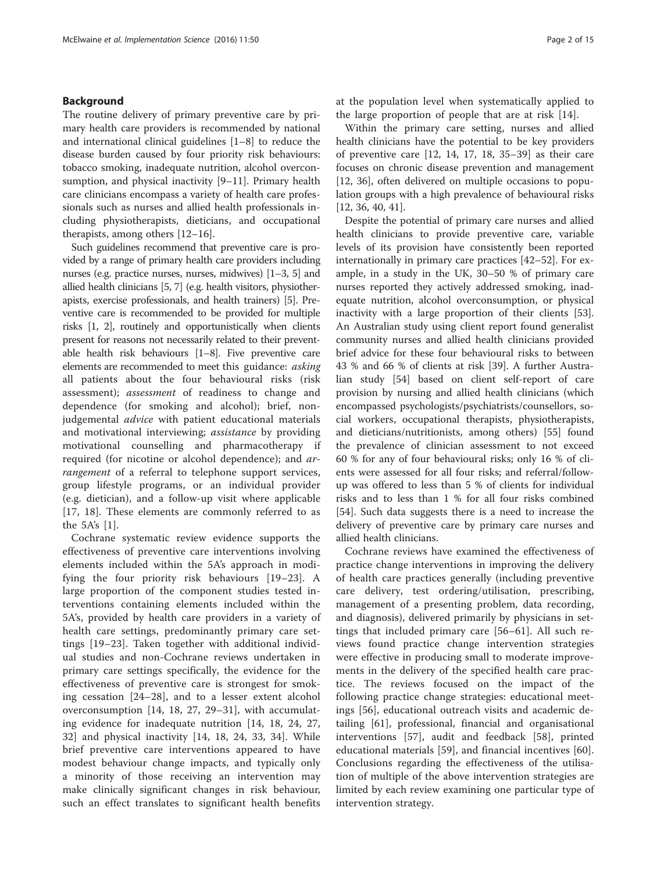## Background

The routine delivery of primary preventive care by primary health care providers is recommended by national and international clinical guidelines [[1](#page-12-0)–[8\]](#page-12-0) to reduce the disease burden caused by four priority risk behaviours: tobacco smoking, inadequate nutrition, alcohol overconsumption, and physical inactivity [[9](#page-12-0)–[11](#page-12-0)]. Primary health care clinicians encompass a variety of health care professionals such as nurses and allied health professionals including physiotherapists, dieticians, and occupational therapists, among others [[12](#page-12-0)–[16](#page-12-0)].

Such guidelines recommend that preventive care is provided by a range of primary health care providers including nurses (e.g. practice nurses, nurses, midwives) [[1](#page-12-0)–[3, 5\]](#page-12-0) and allied health clinicians [[5](#page-12-0), [7\]](#page-12-0) (e.g. health visitors, physiotherapists, exercise professionals, and health trainers) [[5](#page-12-0)]. Preventive care is recommended to be provided for multiple risks [[1](#page-12-0), [2](#page-12-0)], routinely and opportunistically when clients present for reasons not necessarily related to their preventable health risk behaviours [[1](#page-12-0)–[8\]](#page-12-0). Five preventive care elements are recommended to meet this guidance: asking all patients about the four behavioural risks (risk assessment); assessment of readiness to change and dependence (for smoking and alcohol); brief, nonjudgemental *advice* with patient educational materials and motivational interviewing; assistance by providing motivational counselling and pharmacotherapy if required (for nicotine or alcohol dependence); and arrangement of a referral to telephone support services, group lifestyle programs, or an individual provider (e.g. dietician), and a follow-up visit where applicable [[17, 18](#page-12-0)]. These elements are commonly referred to as the 5A's [\[1](#page-12-0)].

Cochrane systematic review evidence supports the effectiveness of preventive care interventions involving elements included within the 5A's approach in modifying the four priority risk behaviours [[19](#page-12-0)–[23\]](#page-12-0). A large proportion of the component studies tested interventions containing elements included within the 5A's, provided by health care providers in a variety of health care settings, predominantly primary care settings [[19](#page-12-0)–[23\]](#page-12-0). Taken together with additional individual studies and non-Cochrane reviews undertaken in primary care settings specifically, the evidence for the effectiveness of preventive care is strongest for smoking cessation [[24](#page-12-0)–[28](#page-12-0)], and to a lesser extent alcohol overconsumption [[14, 18](#page-12-0), [27, 29](#page-12-0)–[31](#page-12-0)], with accumulating evidence for inadequate nutrition [\[14](#page-12-0), [18](#page-12-0), [24](#page-12-0), [27](#page-12-0), [32\]](#page-12-0) and physical inactivity [\[14](#page-12-0), [18, 24, 33, 34](#page-12-0)]. While brief preventive care interventions appeared to have modest behaviour change impacts, and typically only a minority of those receiving an intervention may make clinically significant changes in risk behaviour, such an effect translates to significant health benefits at the population level when systematically applied to the large proportion of people that are at risk [[14\]](#page-12-0).

Within the primary care setting, nurses and allied health clinicians have the potential to be key providers of preventive care [[12, 14, 17](#page-12-0), [18](#page-12-0), [35](#page-12-0)–[39](#page-13-0)] as their care focuses on chronic disease prevention and management [[12, 36](#page-12-0)], often delivered on multiple occasions to population groups with a high prevalence of behavioural risks [[12, 36,](#page-12-0) [40, 41](#page-13-0)].

Despite the potential of primary care nurses and allied health clinicians to provide preventive care, variable levels of its provision have consistently been reported internationally in primary care practices [\[42](#page-13-0)–[52\]](#page-13-0). For example, in a study in the UK, 30–50 % of primary care nurses reported they actively addressed smoking, inadequate nutrition, alcohol overconsumption, or physical inactivity with a large proportion of their clients [\[53](#page-13-0)]. An Australian study using client report found generalist community nurses and allied health clinicians provided brief advice for these four behavioural risks to between 43 % and 66 % of clients at risk [\[39\]](#page-13-0). A further Australian study [\[54\]](#page-13-0) based on client self-report of care provision by nursing and allied health clinicians (which encompassed psychologists/psychiatrists/counsellors, social workers, occupational therapists, physiotherapists, and dieticians/nutritionists, among others) [\[55\]](#page-13-0) found the prevalence of clinician assessment to not exceed 60 % for any of four behavioural risks; only 16 % of clients were assessed for all four risks; and referral/followup was offered to less than 5 % of clients for individual risks and to less than 1 % for all four risks combined [[54\]](#page-13-0). Such data suggests there is a need to increase the delivery of preventive care by primary care nurses and allied health clinicians.

Cochrane reviews have examined the effectiveness of practice change interventions in improving the delivery of health care practices generally (including preventive care delivery, test ordering/utilisation, prescribing, management of a presenting problem, data recording, and diagnosis), delivered primarily by physicians in settings that included primary care [\[56](#page-13-0)–[61](#page-13-0)]. All such reviews found practice change intervention strategies were effective in producing small to moderate improvements in the delivery of the specified health care practice. The reviews focused on the impact of the following practice change strategies: educational meetings [\[56](#page-13-0)], educational outreach visits and academic detailing [[61\]](#page-13-0), professional, financial and organisational interventions [\[57](#page-13-0)], audit and feedback [[58\]](#page-13-0), printed educational materials [[59\]](#page-13-0), and financial incentives [\[60](#page-13-0)]. Conclusions regarding the effectiveness of the utilisation of multiple of the above intervention strategies are limited by each review examining one particular type of intervention strategy.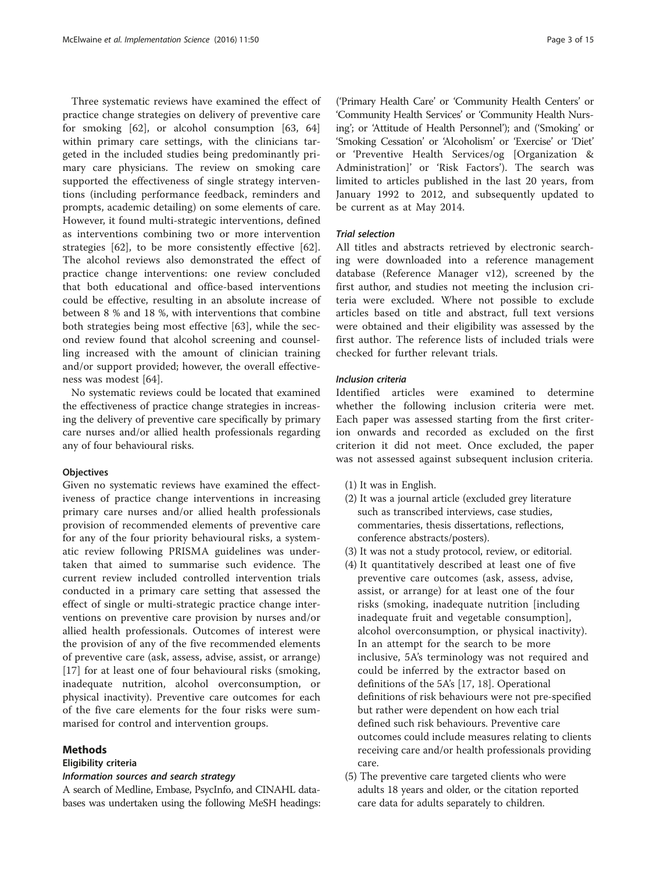Three systematic reviews have examined the effect of practice change strategies on delivery of preventive care for smoking [\[62](#page-13-0)], or alcohol consumption [[63, 64](#page-13-0)] within primary care settings, with the clinicians targeted in the included studies being predominantly primary care physicians. The review on smoking care supported the effectiveness of single strategy interventions (including performance feedback, reminders and prompts, academic detailing) on some elements of care. However, it found multi-strategic interventions, defined as interventions combining two or more intervention strategies [[62\]](#page-13-0), to be more consistently effective [\[62](#page-13-0)]. The alcohol reviews also demonstrated the effect of practice change interventions: one review concluded that both educational and office-based interventions could be effective, resulting in an absolute increase of between 8 % and 18 %, with interventions that combine both strategies being most effective [[63\]](#page-13-0), while the second review found that alcohol screening and counselling increased with the amount of clinician training and/or support provided; however, the overall effectiveness was modest [\[64](#page-13-0)].

No systematic reviews could be located that examined the effectiveness of practice change strategies in increasing the delivery of preventive care specifically by primary care nurses and/or allied health professionals regarding any of four behavioural risks.

## **Objectives**

Given no systematic reviews have examined the effectiveness of practice change interventions in increasing primary care nurses and/or allied health professionals provision of recommended elements of preventive care for any of the four priority behavioural risks, a systematic review following PRISMA guidelines was undertaken that aimed to summarise such evidence. The current review included controlled intervention trials conducted in a primary care setting that assessed the effect of single or multi-strategic practice change interventions on preventive care provision by nurses and/or allied health professionals. Outcomes of interest were the provision of any of the five recommended elements of preventive care (ask, assess, advise, assist, or arrange) [[17\]](#page-12-0) for at least one of four behavioural risks (smoking, inadequate nutrition, alcohol overconsumption, or physical inactivity). Preventive care outcomes for each of the five care elements for the four risks were summarised for control and intervention groups.

## Methods

## Eligibility criteria

## Information sources and search strategy

A search of Medline, Embase, PsycInfo, and CINAHL databases was undertaken using the following MeSH headings:

('Primary Health Care' or 'Community Health Centers' or 'Community Health Services' or 'Community Health Nursing'; or 'Attitude of Health Personnel'); and ('Smoking' or 'Smoking Cessation' or 'Alcoholism' or 'Exercise' or 'Diet' or 'Preventive Health Services/og [Organization & Administration]' or 'Risk Factors'). The search was limited to articles published in the last 20 years, from January 1992 to 2012, and subsequently updated to be current as at May 2014.

## Trial selection

All titles and abstracts retrieved by electronic searching were downloaded into a reference management database (Reference Manager v12), screened by the first author, and studies not meeting the inclusion criteria were excluded. Where not possible to exclude articles based on title and abstract, full text versions were obtained and their eligibility was assessed by the first author. The reference lists of included trials were checked for further relevant trials.

## Inclusion criteria

Identified articles were examined to determine whether the following inclusion criteria were met. Each paper was assessed starting from the first criterion onwards and recorded as excluded on the first criterion it did not meet. Once excluded, the paper was not assessed against subsequent inclusion criteria.

- (1) It was in English.
- (2) It was a journal article (excluded grey literature such as transcribed interviews, case studies, commentaries, thesis dissertations, reflections, conference abstracts/posters).
- (3) It was not a study protocol, review, or editorial.
- (4) It quantitatively described at least one of five preventive care outcomes (ask, assess, advise, assist, or arrange) for at least one of the four risks (smoking, inadequate nutrition [including inadequate fruit and vegetable consumption], alcohol overconsumption, or physical inactivity). In an attempt for the search to be more inclusive, 5A's terminology was not required and could be inferred by the extractor based on definitions of the 5A's [\[17](#page-12-0), [18\]](#page-12-0). Operational definitions of risk behaviours were not pre-specified but rather were dependent on how each trial defined such risk behaviours. Preventive care outcomes could include measures relating to clients receiving care and/or health professionals providing care.
- (5) The preventive care targeted clients who were adults 18 years and older, or the citation reported care data for adults separately to children.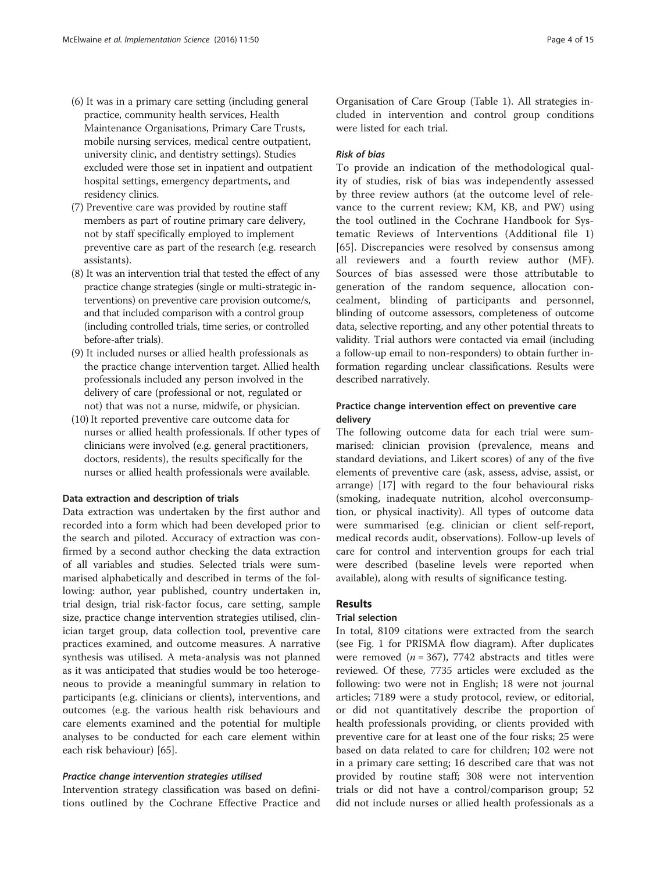- (6) It was in a primary care setting (including general practice, community health services, Health Maintenance Organisations, Primary Care Trusts, mobile nursing services, medical centre outpatient, university clinic, and dentistry settings). Studies excluded were those set in inpatient and outpatient hospital settings, emergency departments, and residency clinics.
- (7) Preventive care was provided by routine staff members as part of routine primary care delivery, not by staff specifically employed to implement preventive care as part of the research (e.g. research assistants).
- (8) It was an intervention trial that tested the effect of any practice change strategies (single or multi-strategic interventions) on preventive care provision outcome/s, and that included comparison with a control group (including controlled trials, time series, or controlled before-after trials).
- (9) It included nurses or allied health professionals as the practice change intervention target. Allied health professionals included any person involved in the delivery of care (professional or not, regulated or not) that was not a nurse, midwife, or physician.
- (10) It reported preventive care outcome data for nurses or allied health professionals. If other types of clinicians were involved (e.g. general practitioners, doctors, residents), the results specifically for the nurses or allied health professionals were available.

## Data extraction and description of trials

Data extraction was undertaken by the first author and recorded into a form which had been developed prior to the search and piloted. Accuracy of extraction was confirmed by a second author checking the data extraction of all variables and studies. Selected trials were summarised alphabetically and described in terms of the following: author, year published, country undertaken in, trial design, trial risk-factor focus, care setting, sample size, practice change intervention strategies utilised, clinician target group, data collection tool, preventive care practices examined, and outcome measures. A narrative synthesis was utilised. A meta-analysis was not planned as it was anticipated that studies would be too heterogeneous to provide a meaningful summary in relation to participants (e.g. clinicians or clients), interventions, and outcomes (e.g. the various health risk behaviours and care elements examined and the potential for multiple analyses to be conducted for each care element within each risk behaviour) [[65](#page-13-0)].

## Practice change intervention strategies utilised

Intervention strategy classification was based on definitions outlined by the Cochrane Effective Practice and

Organisation of Care Group (Table [1](#page-4-0)). All strategies included in intervention and control group conditions were listed for each trial.

## Risk of bias

To provide an indication of the methodological quality of studies, risk of bias was independently assessed by three review authors (at the outcome level of relevance to the current review; KM, KB, and PW) using the tool outlined in the Cochrane Handbook for Systematic Reviews of Interventions (Additional file [1](#page-12-0)) [[65\]](#page-13-0). Discrepancies were resolved by consensus among all reviewers and a fourth review author (MF). Sources of bias assessed were those attributable to generation of the random sequence, allocation concealment, blinding of participants and personnel, blinding of outcome assessors, completeness of outcome data, selective reporting, and any other potential threats to validity. Trial authors were contacted via email (including a follow-up email to non-responders) to obtain further information regarding unclear classifications. Results were described narratively.

## Practice change intervention effect on preventive care delivery

The following outcome data for each trial were summarised: clinician provision (prevalence, means and standard deviations, and Likert scores) of any of the five elements of preventive care (ask, assess, advise, assist, or arrange) [\[17](#page-12-0)] with regard to the four behavioural risks (smoking, inadequate nutrition, alcohol overconsumption, or physical inactivity). All types of outcome data were summarised (e.g. clinician or client self-report, medical records audit, observations). Follow-up levels of care for control and intervention groups for each trial were described (baseline levels were reported when available), along with results of significance testing.

## **Results**

## Trial selection

In total, 8109 citations were extracted from the search (see Fig. [1](#page-5-0) for PRISMA flow diagram). After duplicates were removed ( $n = 367$ ), 7742 abstracts and titles were reviewed. Of these, 7735 articles were excluded as the following: two were not in English; 18 were not journal articles; 7189 were a study protocol, review, or editorial, or did not quantitatively describe the proportion of health professionals providing, or clients provided with preventive care for at least one of the four risks; 25 were based on data related to care for children; 102 were not in a primary care setting; 16 described care that was not provided by routine staff; 308 were not intervention trials or did not have a control/comparison group; 52 did not include nurses or allied health professionals as a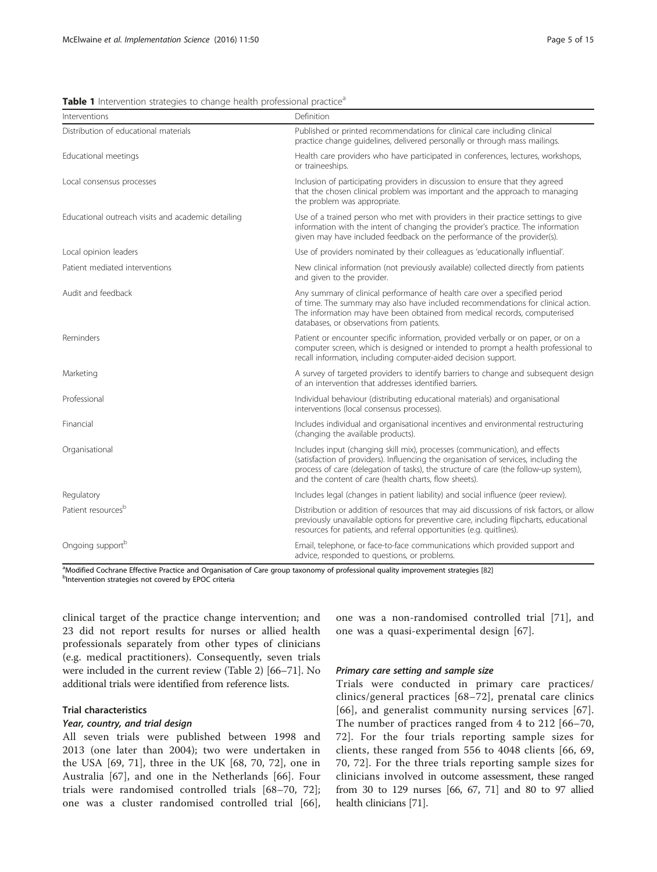<span id="page-4-0"></span>

|  | Table 1 Intervention strategies to change health professional practice <sup>a</sup> |  |  |  |
|--|-------------------------------------------------------------------------------------|--|--|--|
|  |                                                                                     |  |  |  |

| Interventions                                      | Definition                                                                                                                                                                                                                                                                                                           |  |  |  |  |
|----------------------------------------------------|----------------------------------------------------------------------------------------------------------------------------------------------------------------------------------------------------------------------------------------------------------------------------------------------------------------------|--|--|--|--|
| Distribution of educational materials              | Published or printed recommendations for clinical care including clinical<br>practice change quidelines, delivered personally or through mass mailings.                                                                                                                                                              |  |  |  |  |
| Educational meetings                               | Health care providers who have participated in conferences, lectures, workshops,<br>or traineeships.                                                                                                                                                                                                                 |  |  |  |  |
| Local consensus processes                          | Inclusion of participating providers in discussion to ensure that they agreed<br>that the chosen clinical problem was important and the approach to managing<br>the problem was appropriate.                                                                                                                         |  |  |  |  |
| Educational outreach visits and academic detailing | Use of a trained person who met with providers in their practice settings to give<br>information with the intent of changing the provider's practice. The information<br>given may have included feedback on the performance of the provider(s).                                                                     |  |  |  |  |
| Local opinion leaders                              | Use of providers nominated by their colleagues as 'educationally influential'.                                                                                                                                                                                                                                       |  |  |  |  |
| Patient mediated interventions                     | New clinical information (not previously available) collected directly from patients<br>and given to the provider.                                                                                                                                                                                                   |  |  |  |  |
| Audit and feedback                                 | Any summary of clinical performance of health care over a specified period<br>of time. The summary may also have included recommendations for clinical action.<br>The information may have been obtained from medical records, computerised<br>databases, or observations from patients.                             |  |  |  |  |
| Reminders                                          | Patient or encounter specific information, provided verbally or on paper, or on a<br>computer screen, which is designed or intended to prompt a health professional to<br>recall information, including computer-aided decision support.                                                                             |  |  |  |  |
| Marketing                                          | A survey of targeted providers to identify barriers to change and subsequent design<br>of an intervention that addresses identified barriers.                                                                                                                                                                        |  |  |  |  |
| Professional                                       | Individual behaviour (distributing educational materials) and organisational<br>interventions (local consensus processes).                                                                                                                                                                                           |  |  |  |  |
| Financial                                          | Includes individual and organisational incentives and environmental restructuring<br>(changing the available products).                                                                                                                                                                                              |  |  |  |  |
| Organisational                                     | Includes input (changing skill mix), processes (communication), and effects<br>(satisfaction of providers). Influencing the organisation of services, including the<br>process of care (delegation of tasks), the structure of care (the follow-up system),<br>and the content of care (health charts, flow sheets). |  |  |  |  |
| Regulatory                                         | Includes legal (changes in patient liability) and social influence (peer review).                                                                                                                                                                                                                                    |  |  |  |  |
| Patient resources <sup>b</sup>                     | Distribution or addition of resources that may aid discussions of risk factors, or allow<br>previously unavailable options for preventive care, including flipcharts, educational<br>resources for patients, and referral opportunities (e.g. quitlines).                                                            |  |  |  |  |
| Ongoing support <sup>b</sup>                       | Email, telephone, or face-to-face communications which provided support and<br>advice, responded to questions, or problems.                                                                                                                                                                                          |  |  |  |  |

<sup>a</sup>Modified Cochrane Effective Practice and Organisation of Care group taxonomy of professional quality improvement strategies [\[82](#page-14-0)] by the proversion strategies [82] <sup>b</sup>Intervention strategies not covered by EPOC criteria

clinical target of the practice change intervention; and 23 did not report results for nurses or allied health professionals separately from other types of clinicians (e.g. medical practitioners). Consequently, seven trials were included in the current review (Table [2\)](#page-6-0) [[66](#page-13-0)–[71](#page-13-0)]. No additional trials were identified from reference lists.

## Trial characteristics

## Year, country, and trial design

All seven trials were published between 1998 and 2013 (one later than 2004); two were undertaken in the USA [\[69](#page-13-0), [71\]](#page-13-0), three in the UK [[68, 70, 72\]](#page-13-0), one in Australia [\[67](#page-13-0)], and one in the Netherlands [[66\]](#page-13-0). Four trials were randomised controlled trials [\[68](#page-13-0)–[70](#page-13-0), [72](#page-13-0)]; one was a cluster randomised controlled trial [\[66](#page-13-0)],

one was a non-randomised controlled trial [[71\]](#page-13-0), and one was a quasi-experimental design [[67](#page-13-0)].

## Primary care setting and sample size

Trials were conducted in primary care practices/ clinics/general practices [\[68](#page-13-0)–[72\]](#page-13-0), prenatal care clinics [[66](#page-13-0)], and generalist community nursing services [[67](#page-13-0)]. The number of practices ranged from 4 to 212 [[66](#page-13-0)–[70](#page-13-0), [72\]](#page-13-0). For the four trials reporting sample sizes for clients, these ranged from 556 to 4048 clients [[66](#page-13-0), [69](#page-13-0), [70, 72](#page-13-0)]. For the three trials reporting sample sizes for clinicians involved in outcome assessment, these ranged from 30 to 129 nurses [[66](#page-13-0), [67](#page-13-0), [71\]](#page-13-0) and 80 to 97 allied health clinicians [[71](#page-13-0)].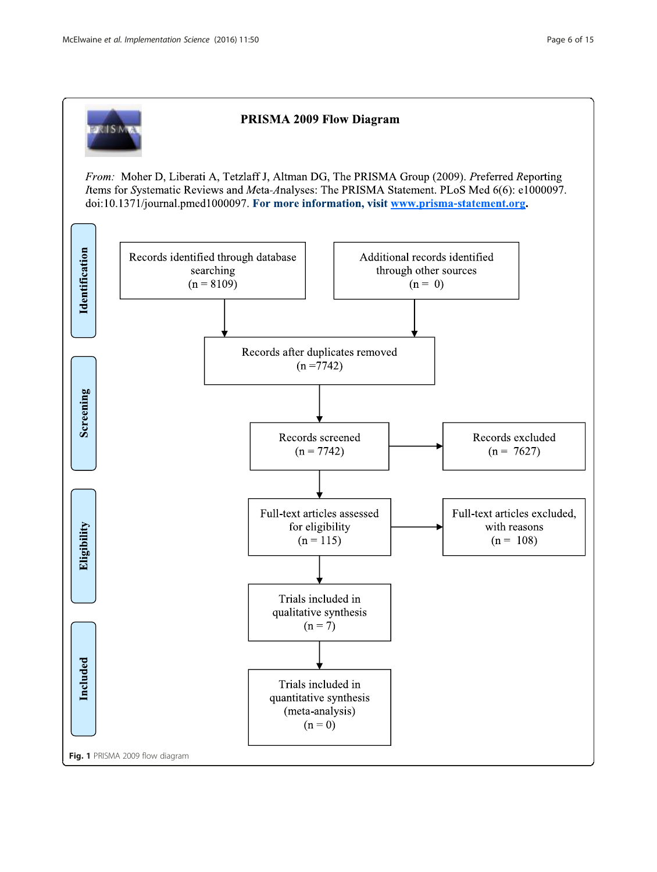<span id="page-5-0"></span>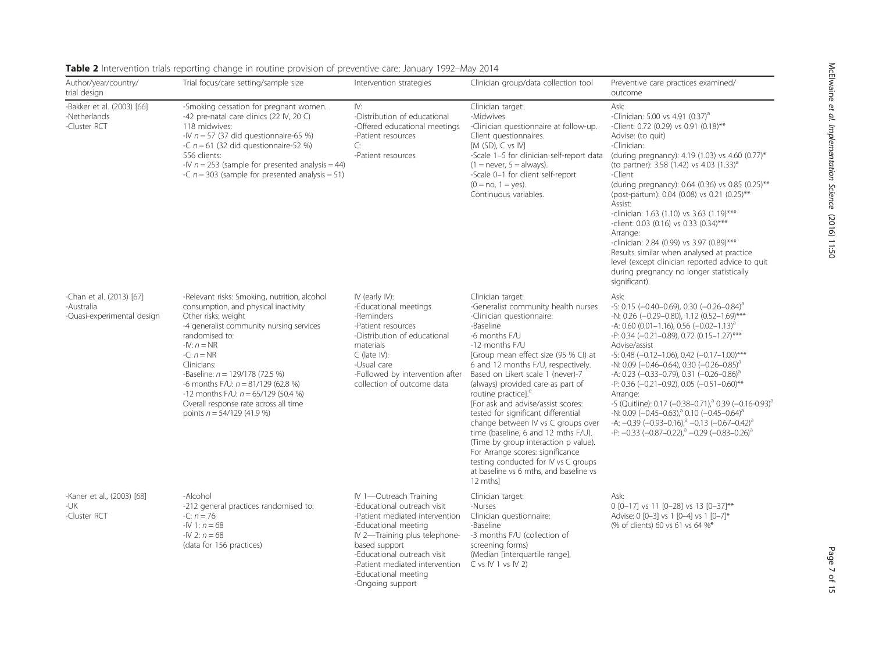| Author/year/country/<br>trial design                                 | Trial focus/care setting/sample size                                                                                                                                                                                                                                                                                                                                                                                     | Intervention strategies                                                                                                                                                                                                                                                        | Clinician group/data collection tool                                                                                                                                                                                                                                                                                                                                                                                                                                                                                                                                                                                                                                 | Preventive care practices examined/<br>outcome                                                                                                                                                                                                                                                                                                                                                                                                                                                                                                                                                                                                                                                                                                                                                                            |
|----------------------------------------------------------------------|--------------------------------------------------------------------------------------------------------------------------------------------------------------------------------------------------------------------------------------------------------------------------------------------------------------------------------------------------------------------------------------------------------------------------|--------------------------------------------------------------------------------------------------------------------------------------------------------------------------------------------------------------------------------------------------------------------------------|----------------------------------------------------------------------------------------------------------------------------------------------------------------------------------------------------------------------------------------------------------------------------------------------------------------------------------------------------------------------------------------------------------------------------------------------------------------------------------------------------------------------------------------------------------------------------------------------------------------------------------------------------------------------|---------------------------------------------------------------------------------------------------------------------------------------------------------------------------------------------------------------------------------------------------------------------------------------------------------------------------------------------------------------------------------------------------------------------------------------------------------------------------------------------------------------------------------------------------------------------------------------------------------------------------------------------------------------------------------------------------------------------------------------------------------------------------------------------------------------------------|
| -Bakker et al. (2003) [66]<br>-Netherlands<br>-Cluster RCT           | -Smoking cessation for pregnant women.<br>-42 pre-natal care clinics (22 IV, 20 C)<br>118 midwives:<br>-IV $n = 57$ (37 did questionnaire-65 %)<br>-C $n = 61$ (32 did questionnaire-52 %)<br>556 clients:<br>-IV $n = 253$ (sample for presented analysis = 44)<br>-C $n = 303$ (sample for presented analysis = 51)                                                                                                    | IV:<br>-Distribution of educational<br>-Offered educational meetings<br>-Patient resources<br>C:<br>-Patient resources                                                                                                                                                         | Clinician target:<br>-Midwives<br>-Clinician questionnaire at follow-up.<br>Client questionnaires.<br>[M (SD), C vs IV]<br>-Scale 1-5 for clinician self-report data<br>$(1 = never, 5 = always).$<br>-Scale 0-1 for client self-report<br>$(0 = no, 1 = yes).$<br>Continuous variables.                                                                                                                                                                                                                                                                                                                                                                             | Ask:<br>-Clinician: 5.00 vs 4.91 (0.37) <sup>a</sup><br>-Client: 0.72 (0.29) vs 0.91 (0.18)**<br>Advise: (to quit)<br>-Clinician:<br>(during pregnancy): 4.19 (1.03) vs 4.60 (0.77)*<br>(to partner): 3.58 (1.42) vs 4.03 (1.33) <sup>a</sup><br>-Client<br>(during pregnancy): 0.64 (0.36) vs 0.85 (0.25)**<br>(post-partum): 0.04 (0.08) vs 0.21 (0.25)**<br>Assist:<br>-clinician: 1.63 (1.10) vs 3.63 (1.19)***<br>-client: 0.03 (0.16) vs 0.33 (0.34)***<br>Arrange:<br>-clinician: 2.84 (0.99) vs 3.97 (0.89)***<br>Results similar when analysed at practice<br>level (except clinician reported advice to quit<br>during pregnancy no longer statistically<br>significant).                                                                                                                                       |
| -Chan et al. (2013) [67]<br>-Australia<br>-Quasi-experimental design | -Relevant risks: Smoking, nutrition, alcohol<br>consumption, and physical inactivity<br>Other risks: weight<br>-4 generalist community nursing services<br>randomised to:<br>$-IV: n = NR$<br>$-C: n = NR$<br>Clinicians:<br>-Baseline: $n = 129/178$ (72.5 %)<br>-6 months F/U: $n = 81/129$ (62.8 %)<br>-12 months F/U: $n = 65/129$ (50.4 %)<br>Overall response rate across all time<br>points $n = 54/129$ (41.9 %) | IV (early IV):<br>-Educational meetings<br>-Reminders<br>-Patient resources<br>-Distribution of educational<br>materials<br>$\subset$ (late IV):<br>-Usual care<br>-Followed by intervention after<br>collection of outcome data                                               | Clinician target:<br>-Generalist community health nurses<br>-Clinician questionnaire:<br>-Baseline<br>-6 months F/U<br>-12 months F/U<br>[Group mean effect size (95 % CI) at<br>6 and 12 months F/U, respectively.<br>Based on Likert scale 1 (never)-7<br>(always) provided care as part of<br>routine practice]. <sup>e</sup><br>[For ask and advise/assist scores:<br>tested for significant differential<br>change between IV vs C groups over<br>time (baseline, 6 and 12 mths F/U).<br>(Time by group interaction p value).<br>For Arrange scores: significance<br>testing conducted for IV vs C groups<br>at baseline vs 6 mths, and baseline vs<br>12 mths] | Ask:<br>$-5: 0.15$ ( $-0.40 - 0.69$ ), 0.30 ( $-0.26 - 0.84$ ) <sup>a</sup><br>-N: 0.26 ( $-0.29 - 0.80$ ), 1.12 (0.52-1.69)***<br>$-A: 0.60 (0.01-1.16)$ , 0.56 (-0.02-1.13) <sup>a</sup><br>-P: 0.34 (-0.21-0.89), 0.72 (0.15-1.27)***<br>Advise/assist<br>$-5: 0.48 (-0.12 - 1.06), 0.42 (-0.17 - 1.00)$ ***<br>$-N: 0.09$ (-0.46-0.64), 0.30 (-0.26-0.85) <sup>a</sup><br>$-A: 0.23 (-0.33 - 0.79), 0.31 (-0.26 - 0.86)^{d}$<br>$-P: 0.36$ (-0.21-0.92), 0.05 (-0.51-0.60)**<br>Arrange:<br>-S (Quitline): 0.17 (-0.38-0.71), <sup>a</sup> 0.39 (-0.16-0.93) <sup>a</sup><br>-N: 0.09 $(-0.45 - 0.63)$ <sup>3</sup> 0.10 $(-0.45 - 0.64)$ <sup>3</sup><br>-A: $-0.39$ ( $-0.93$ -0.16), <sup>a</sup> $-0.13$ ( $-0.67$ -0.42) <sup>a</sup><br>$-P$ : -0.33 (-0.87-0.22), <sup>a</sup> -0.29 (-0.83-0.26) <sup>a</sup> |
| -Kaner et al., (2003) [68]<br>-UK<br>-Cluster RCT                    | -Alcohol<br>-212 general practices randomised to:<br>$-C: n = 76$<br>$-IV$ 1: $n = 68$<br>$-N$ 2: $n = 68$<br>(data for 156 practices)                                                                                                                                                                                                                                                                                   | IV 1-Outreach Training<br>-Educational outreach visit<br>-Patient mediated intervention<br>-Educational meeting<br>IV 2-Training plus telephone-<br>based support<br>-Educational outreach visit<br>-Patient mediated intervention<br>-Educational meeting<br>-Ongoing support | Clinician target:<br>-Nurses<br>Clinician questionnaire:<br>-Baseline<br>-3 months F/U (collection of<br>screening forms)<br>(Median [interquartile range],<br>$C$ vs $IV$ 1 vs $IV$ 2)                                                                                                                                                                                                                                                                                                                                                                                                                                                                              | Ask:<br>0 [0-17] vs 11 [0-28] vs 13 [0-37]**<br>Advise: 0 [0-3] vs 1 [0-4] vs 1 [0-7]*<br>(% of clients) 60 vs 61 vs 64 %*                                                                                                                                                                                                                                                                                                                                                                                                                                                                                                                                                                                                                                                                                                |

## <span id="page-6-0"></span>Table 2 Intervention trials reporting change in routine provision of preventive care: January 1992–May 2014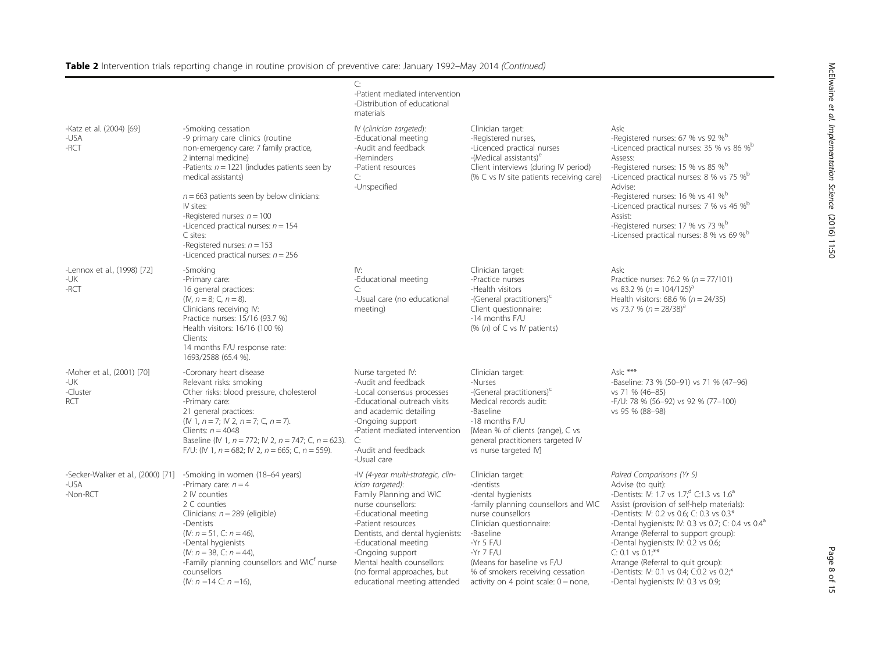|                                                             |                                                                                                                                                                                                                                                                                                                                                                                                                                  | C:<br>-Patient mediated intervention<br>-Distribution of educational<br>materials                                                                                                                                                                                                                                                 |                                                                                                                                                                                                                                                                                                          |                                                                                                                                                                                                                                                                                                                                                                                                                                                                                                                |
|-------------------------------------------------------------|----------------------------------------------------------------------------------------------------------------------------------------------------------------------------------------------------------------------------------------------------------------------------------------------------------------------------------------------------------------------------------------------------------------------------------|-----------------------------------------------------------------------------------------------------------------------------------------------------------------------------------------------------------------------------------------------------------------------------------------------------------------------------------|----------------------------------------------------------------------------------------------------------------------------------------------------------------------------------------------------------------------------------------------------------------------------------------------------------|----------------------------------------------------------------------------------------------------------------------------------------------------------------------------------------------------------------------------------------------------------------------------------------------------------------------------------------------------------------------------------------------------------------------------------------------------------------------------------------------------------------|
| -Katz et al. (2004) [69]<br>-USA<br>$-RCT$                  | -Smoking cessation<br>-9 primary care clinics (routine<br>non-emergency care: 7 family practice,<br>2 internal medicine)<br>-Patients: $n = 1221$ (includes patients seen by<br>medical assistants)<br>$n = 663$ patients seen by below clinicians:<br>IV sites:<br>-Registered nurses: $n = 100$<br>-Licenced practical nurses: $n = 154$<br>C sites:<br>-Registered nurses: $n = 153$<br>-Licenced practical nurses: $n = 256$ | IV (clinician targeted):<br>-Educational meeting<br>-Audit and feedback<br>-Reminders<br>-Patient resources<br>C:<br>-Unspecified                                                                                                                                                                                                 | Clinician target:<br>-Registered nurses,<br>-Licenced practical nurses<br>-(Medical assistants) <sup>e</sup><br>Client interviews (during IV period)<br>(% C vs IV site patients receiving care)                                                                                                         | Ask:<br>-Registered nurses: 67 % vs 92 % <sup>b</sup><br>-Licenced practical nurses: 35 % vs 86 % <sup>b</sup><br>Assess:<br>-Registered nurses: 15 % vs 85 % <sup>b</sup><br>-Licenced practical nurses: 8 % vs 75 % <sup>b</sup><br>Advise:<br>-Registered nurses: 16 % vs 41 % <sup>b</sup><br>-Licenced practical nurses: 7 % vs 46 % <sup>b</sup><br>Assist:<br>-Registered nurses: 17 % vs 73 % <sup>b</sup><br>-Licensed practical nurses: 8 % vs 69 % <sup>b</sup>                                     |
| -Lennox et al., (1998) [72]<br>-UK<br>$-RCT$                | -Smoking<br>-Primary care:<br>16 general practices:<br>(IV, $n = 8$ ; C, $n = 8$ ).<br>Clinicians receiving IV:<br>Practice nurses: 15/16 (93.7 %)<br>Health visitors: 16/16 (100 %)<br>Clients:<br>14 months F/U response rate:<br>1693/2588 (65.4 %).                                                                                                                                                                          | IV:<br>-Educational meeting<br>$\overline{C}$<br>-Usual care (no educational<br>meeting)                                                                                                                                                                                                                                          | Clinician target:<br>-Practice nurses<br>-Health visitors<br>-(General practitioners) <sup>c</sup><br>Client questionnaire:<br>-14 months F/U<br>$(\% (n)$ of C vs IV patients)                                                                                                                          | Ask:<br>Practice nurses: 76.2 % ( $n = 77/101$ )<br>vs 83.2 % ( $n = 104/125$ ) <sup>a</sup><br>Health visitors: 68.6 % ( $n = 24/35$ )<br>vs 73.7 % ( $n = 28/38$ ) <sup>a</sup>                                                                                                                                                                                                                                                                                                                              |
| -Moher et al., (2001) [70]<br>-UK<br>-Cluster<br><b>RCT</b> | -Coronary heart disease<br>Relevant risks: smoking<br>Other risks: blood pressure, cholesterol<br>-Primary care:<br>21 general practices:<br>$(N 1, n = 7; W 2, n = 7; C, n = 7).$<br>Clients: $n = 4048$<br>Baseline (IV 1, $n = 772$ ; IV 2, $n = 747$ ; C, $n = 623$ ).<br>F/U: (IV 1, $n = 682$ ; IV 2, $n = 665$ ; C, $n = 559$ ).                                                                                          | Nurse targeted IV:<br>-Audit and feedback<br>-Local consensus processes<br>-Educational outreach visits<br>and academic detailing<br>-Ongoing support<br>-Patient mediated intervention<br>C:<br>-Audit and feedback<br>-Usual care                                                                                               | Clinician target:<br>-Nurses<br>-(General practitioners) <sup>c</sup><br>Medical records audit:<br>-Baseline<br>-18 months F/U<br>[Mean % of clients (range), C vs<br>general practitioners targeted IV<br>vs nurse targeted IV]                                                                         | Ask: ***<br>-Baseline: 73 % (50-91) vs 71 % (47-96)<br>vs 71 % (46-85)<br>-F/U: 78 % (56-92) vs 92 % (77-100)<br>vs 95 % (88-98)                                                                                                                                                                                                                                                                                                                                                                               |
| -Secker-Walker et al., (2000) [71]<br>-USA<br>-Non-RCT      | -Smoking in women (18-64 years)<br>-Primary care: $n = 4$<br>2 IV counties<br>2 C counties<br>Clinicians: $n = 289$ (eligible)<br>-Dentists<br>(IV: $n = 51$ , C: $n = 46$ ),<br>-Dental hygienists<br>(IV: $n = 38$ , C: $n = 44$ ),<br>-Family planning counsellors and WIC <sup>†</sup> nurse<br>counsellors<br>(IV: $n = 14$ C: $n = 16$ ),                                                                                  | -IV (4-year multi-strategic, clin-<br>ician targeted):<br>Family Planning and WIC<br>nurse counsellors:<br>-Educational meeting<br>-Patient resources<br>Dentists, and dental hygienists:<br>-Educational meeting<br>-Ongoing support<br>Mental health counsellors:<br>(no formal approaches, but<br>educational meeting attended | Clinician target:<br>-dentists<br>-dental hygienists<br>-family planning counsellors and WIC<br>nurse counsellors<br>Clinician questionnaire:<br>-Baseline<br>$-Yr$ 5 $F/U$<br>$-Yr$ 7 $F/U$<br>(Means for baseline vs F/U<br>% of smokers receiving cessation<br>activity on 4 point scale: $0 =$ none, | Paired Comparisons (Yr 5)<br>Advise (to quit):<br>-Dentists: IV: 1.7 vs 1.7; <sup>d</sup> C:1.3 vs 1.6 <sup>a</sup><br>Assist (provision of self-help materials):<br>-Dentists: IV: 0.2 vs 0.6; C: 0.3 vs 0.3*<br>-Dental hygienists: IV: 0.3 vs 0.7; C: 0.4 vs $0.4^{\circ}$<br>Arrange (Referral to support group):<br>-Dental hygienists: IV: 0.2 vs 0.6;<br>$C: 0.1$ vs $0.1$ ;**<br>Arrange (Referral to quit group):<br>-Dentists: IV: 0.1 vs 0.4; C:0.2 vs 0.2;*<br>-Dental hygienists: IV: 0.3 vs 0.9; |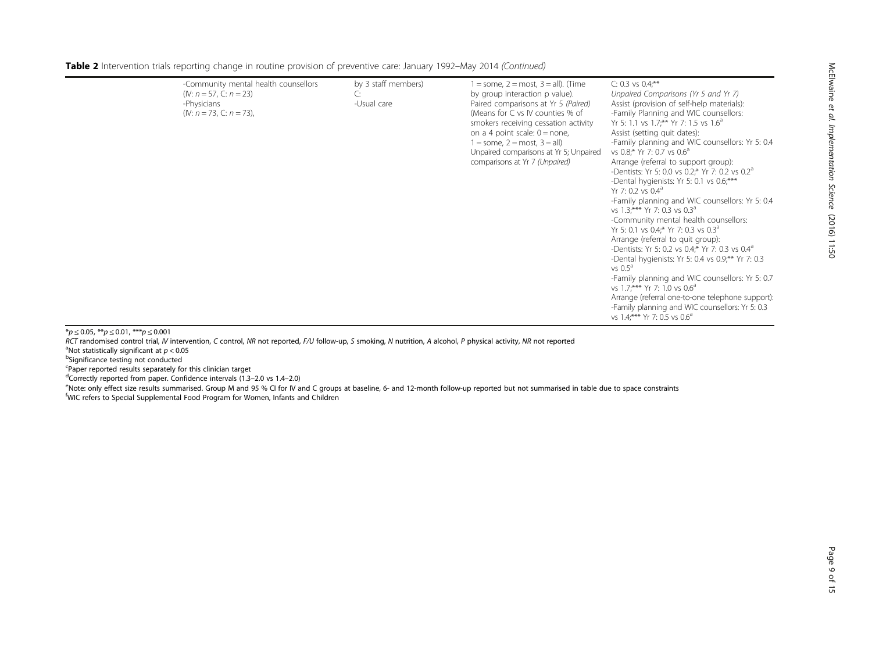Table 2 Intervention trials reporting change in routine provision of preventive care: January 1992–May 2014 (Continued)

| -Physicians | -Community mental health counsellors<br>(IV: $n = 57$ , C: $n = 23$ )<br>(IV: $n = 73$ , C: $n = 73$ ), | by 3 staff members)<br>-Usual care | $1 =$ some, $2 =$ most, $3 =$ all). (Time<br>by group interaction p value).<br>Paired comparisons at Yr 5 (Paired)<br>(Means for C vs IV counties % of<br>smokers receiving cessation activity<br>on a 4 point scale: $0 =$ none,<br>$1 =$ some, $2 =$ most, $3 =$ all)<br>Unpaired comparisons at Yr 5; Unpaired<br>comparisons at Yr 7 (Unpaired) | C: $0.3$ vs $0.4$ ;**<br>Unpaired Comparisons (Yr 5 and Yr 7)<br>Assist (provision of self-help materials):<br>-Family Planning and WIC counsellors:<br>Yr 5: 1.1 vs 1.7;** Yr 7: 1.5 vs 1.6 <sup>a</sup><br>Assist (setting quit dates):<br>-Family planning and WIC counsellors: Yr 5: 0.4<br>vs 0.8:* Yr 7: 0.7 vs 0.6 <sup>a</sup><br>Arrange (referral to support group):<br>-Dentists: Yr 5: 0.0 vs 0.2;* Yr 7: 0.2 vs 0.2 <sup>a</sup><br>-Dental hygienists: Yr 5: 0.1 vs 0.6;***<br>Yr 7: 0.2 vs $0.4^a$<br>-Family planning and WIC counsellors: Yr 5: 0.4<br>vs 1.3;*** Yr 7: 0.3 vs 0.3 <sup>a</sup><br>-Community mental health counsellors:<br>Yr 5: 0.1 vs 0.4;* Yr 7: 0.3 vs 0.3 <sup>a</sup><br>Arrange (referral to quit group):<br>-Dentists: Yr 5: 0.2 vs 0.4;* Yr 7: 0.3 vs 0.4 <sup>a</sup><br>-Dental hygienists: Yr 5: 0.4 vs 0.9;** Yr 7: 0.3<br>vs $0.5^{\circ}$<br>-Family planning and WIC counsellors: Yr 5: 0.7<br>vs 1.7:*** Yr 7: 1.0 vs 0.6 <sup>a</sup><br>Arrange (referral one-to-one telephone support):<br>-Family planning and WIC counsellors: Yr 5: 0.3<br>vs 1.4;*** Yr 7: 0.5 vs 0.6 <sup>a</sup> |
|-------------|---------------------------------------------------------------------------------------------------------|------------------------------------|-----------------------------------------------------------------------------------------------------------------------------------------------------------------------------------------------------------------------------------------------------------------------------------------------------------------------------------------------------|----------------------------------------------------------------------------------------------------------------------------------------------------------------------------------------------------------------------------------------------------------------------------------------------------------------------------------------------------------------------------------------------------------------------------------------------------------------------------------------------------------------------------------------------------------------------------------------------------------------------------------------------------------------------------------------------------------------------------------------------------------------------------------------------------------------------------------------------------------------------------------------------------------------------------------------------------------------------------------------------------------------------------------------------------------------------------------------------------------------------------------------------|
|-------------|---------------------------------------------------------------------------------------------------------|------------------------------------|-----------------------------------------------------------------------------------------------------------------------------------------------------------------------------------------------------------------------------------------------------------------------------------------------------------------------------------------------------|----------------------------------------------------------------------------------------------------------------------------------------------------------------------------------------------------------------------------------------------------------------------------------------------------------------------------------------------------------------------------------------------------------------------------------------------------------------------------------------------------------------------------------------------------------------------------------------------------------------------------------------------------------------------------------------------------------------------------------------------------------------------------------------------------------------------------------------------------------------------------------------------------------------------------------------------------------------------------------------------------------------------------------------------------------------------------------------------------------------------------------------------|

 $**p* \le 0.05$ ,  $***p* \le 0.01$ ,  $****p* \le 0.001$ 

RCT randomised control trial, IV intervention, C control, NR not reported, F/U follow-up, S smoking, N nutrition, A alcohol, P physical activity, NR not reported

<sup>a</sup>Not statistically significant at  $p < 0.05$ 

bSignificance testing not conducted

Paper reported results separately for this clinician target

dcorrectly reported from paper. Confidence intervals (1.3–2.0 vs 1.4–2.0)<br>ENote: only effect size results summarised. Group M and 95 % CL for W at

eNote: only effect size results summarised. Group M and 95 % CI for IV and C groups at baseline, 6- and 12-month follow-up reported but not summarised in table due to space constraints

WIC refers to Special Supplemental Food Program for Women, Infants and Children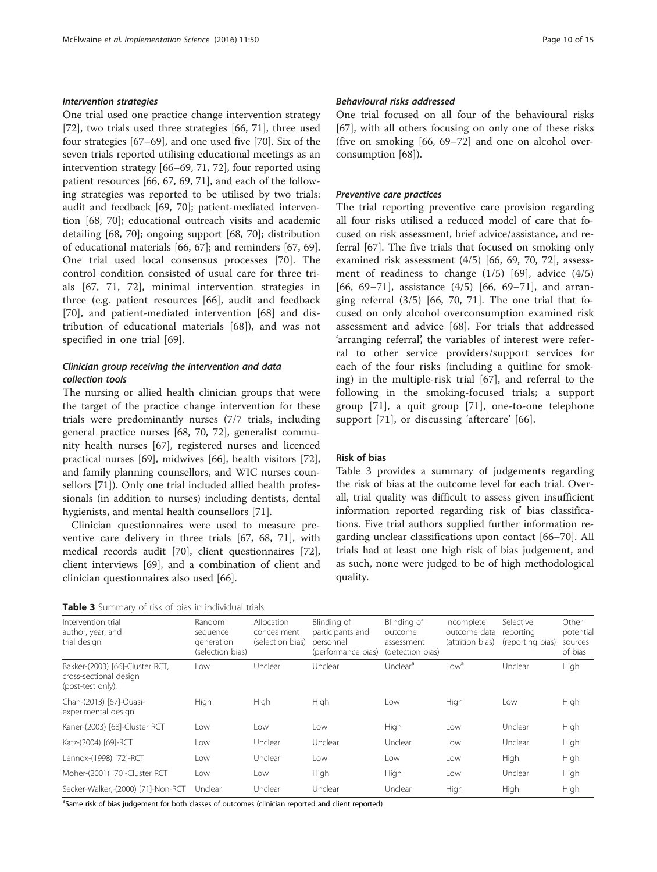## Intervention strategies

One trial used one practice change intervention strategy [[72\]](#page-13-0), two trials used three strategies [[66, 71](#page-13-0)], three used four strategies [[67](#page-13-0)–[69](#page-13-0)], and one used five [\[70\]](#page-13-0). Six of the seven trials reported utilising educational meetings as an intervention strategy [[66](#page-13-0)–[69](#page-13-0), [71, 72\]](#page-13-0), four reported using patient resources [[66, 67](#page-13-0), [69](#page-13-0), [71](#page-13-0)], and each of the following strategies was reported to be utilised by two trials: audit and feedback [[69, 70](#page-13-0)]; patient-mediated intervention [[68](#page-13-0), [70\]](#page-13-0); educational outreach visits and academic detailing [[68](#page-13-0), [70](#page-13-0)]; ongoing support [\[68](#page-13-0), [70\]](#page-13-0); distribution of educational materials [\[66](#page-13-0), [67](#page-13-0)]; and reminders [\[67](#page-13-0), [69](#page-13-0)]. One trial used local consensus processes [\[70](#page-13-0)]. The control condition consisted of usual care for three trials [[67, 71, 72\]](#page-13-0), minimal intervention strategies in three (e.g. patient resources [[66\]](#page-13-0), audit and feedback [[70\]](#page-13-0), and patient-mediated intervention [\[68](#page-13-0)] and distribution of educational materials [[68\]](#page-13-0)), and was not specified in one trial [[69](#page-13-0)].

## Clinician group receiving the intervention and data collection tools

The nursing or allied health clinician groups that were the target of the practice change intervention for these trials were predominantly nurses (7/7 trials, including general practice nurses [[68, 70, 72\]](#page-13-0), generalist community health nurses [\[67](#page-13-0)], registered nurses and licenced practical nurses [\[69](#page-13-0)], midwives [[66\]](#page-13-0), health visitors [\[72](#page-13-0)], and family planning counsellors, and WIC nurses counsellors [[71\]](#page-13-0)). Only one trial included allied health professionals (in addition to nurses) including dentists, dental hygienists, and mental health counsellors [[71](#page-13-0)].

Clinician questionnaires were used to measure preventive care delivery in three trials [[67, 68, 71](#page-13-0)], with medical records audit [\[70\]](#page-13-0), client questionnaires [\[72](#page-13-0)], client interviews [[69\]](#page-13-0), and a combination of client and clinician questionnaires also used [[66](#page-13-0)].

Table 3 Summary of risk of bias in individual trials

## Behavioural risks addressed

One trial focused on all four of the behavioural risks [[67\]](#page-13-0), with all others focusing on only one of these risks (five on smoking [[66](#page-13-0), [69](#page-13-0)–[72](#page-13-0)] and one on alcohol overconsumption [[68](#page-13-0)]).

## Preventive care practices

The trial reporting preventive care provision regarding all four risks utilised a reduced model of care that focused on risk assessment, brief advice/assistance, and referral [\[67\]](#page-13-0). The five trials that focused on smoking only examined risk assessment (4/5) [\[66](#page-13-0), [69](#page-13-0), [70](#page-13-0), [72](#page-13-0)], assessment of readiness to change  $(1/5)$  [\[69](#page-13-0)], advice  $(4/5)$ [[66, 69](#page-13-0)-[71\]](#page-13-0), assistance  $(4/5)$  [66, 69-[71](#page-13-0)], and arranging referral  $(3/5)$  [[66](#page-13-0), [70, 71\]](#page-13-0). The one trial that focused on only alcohol overconsumption examined risk assessment and advice [[68\]](#page-13-0). For trials that addressed 'arranging referral', the variables of interest were referral to other service providers/support services for each of the four risks (including a quitline for smoking) in the multiple-risk trial [\[67](#page-13-0)], and referral to the following in the smoking-focused trials; a support group [[71](#page-13-0)], a quit group [[71\]](#page-13-0), one-to-one telephone support [[71](#page-13-0)], or discussing 'aftercare' [\[66](#page-13-0)].

## Risk of bias

Table 3 provides a summary of judgements regarding the risk of bias at the outcome level for each trial. Overall, trial quality was difficult to assess given insufficient information reported regarding risk of bias classifications. Five trial authors supplied further information regarding unclear classifications upon contact [\[66](#page-13-0)–[70\]](#page-13-0). All trials had at least one high risk of bias judgement, and as such, none were judged to be of high methodological quality.

| Intervention trial<br>author, year, and<br>trial design                        | Random<br>sequence<br>generation<br>(selection bias) | Allocation<br>concealment<br>(selection bias) | Blinding of<br>participants and<br>personnel<br>(performance bias) | Blinding of<br>outcome<br>assessment<br>(detection bias) | Incomplete<br>outcome data<br>(attrition bias) | Selective<br>reporting<br>(reporting bias) | Other<br>potential<br>sources<br>of bias |  |
|--------------------------------------------------------------------------------|------------------------------------------------------|-----------------------------------------------|--------------------------------------------------------------------|----------------------------------------------------------|------------------------------------------------|--------------------------------------------|------------------------------------------|--|
| Bakker-(2003) [66]-Cluster RCT,<br>cross-sectional design<br>(post-test only). | Low                                                  | Unclear                                       | Unclear                                                            | Unclear <sup>a</sup>                                     | Low <sup>a</sup>                               | Unclear                                    | High                                     |  |
| Chan-(2013) [67]-Quasi-<br>experimental design                                 | High                                                 | High                                          | High                                                               | Low                                                      | High                                           | Low                                        | High                                     |  |
| Kaner-(2003) [68]-Cluster RCT                                                  | Low                                                  | Low                                           | Low                                                                | High                                                     | Low                                            | Unclear                                    | High                                     |  |
| Katz-(2004) [69]-RCT                                                           | Low                                                  | Unclear                                       | Unclear                                                            | Unclear                                                  | Low                                            | Unclear                                    | High                                     |  |
| Lennox-(1998) [72]-RCT                                                         | Low                                                  | Unclear                                       | Low                                                                | Low                                                      | Low                                            | High                                       | High                                     |  |
| Moher-(2001) [70]-Cluster RCT                                                  | Low                                                  | Low                                           | High                                                               | High                                                     | Low                                            | Unclear                                    | High                                     |  |
| Secker-Walker,-(2000) [71]-Non-RCT                                             | Unclear                                              | Unclear                                       | Unclear                                                            | Unclear                                                  | High                                           | High                                       | High                                     |  |

<sup>a</sup>Same risk of bias judgement for both classes of outcomes (clinician reported and client reported)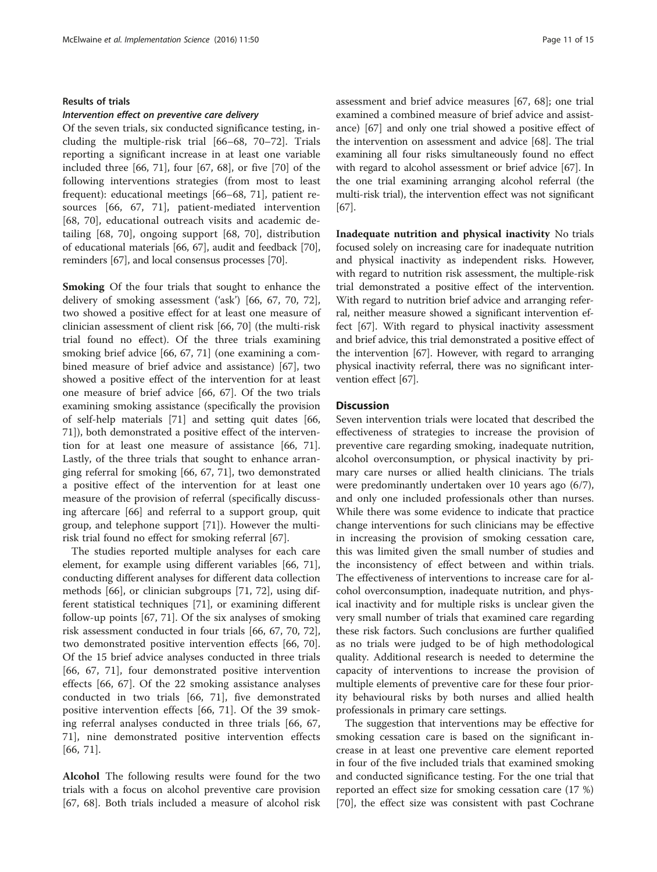## Results of trials

## Intervention effect on preventive care delivery

Of the seven trials, six conducted significance testing, including the multiple-risk trial [\[66](#page-13-0)–[68, 70](#page-13-0)–[72\]](#page-13-0). Trials reporting a significant increase in at least one variable included three [\[66, 71\]](#page-13-0), four [\[67](#page-13-0), [68\]](#page-13-0), or five [\[70](#page-13-0)] of the following interventions strategies (from most to least frequent): educational meetings [\[66](#page-13-0)–[68](#page-13-0), [71](#page-13-0)], patient resources [[66, 67](#page-13-0), [71](#page-13-0)], patient-mediated intervention [[68, 70\]](#page-13-0), educational outreach visits and academic detailing [\[68](#page-13-0), [70](#page-13-0)], ongoing support [\[68](#page-13-0), [70\]](#page-13-0), distribution of educational materials [[66](#page-13-0), [67](#page-13-0)], audit and feedback [[70](#page-13-0)], reminders [[67\]](#page-13-0), and local consensus processes [[70](#page-13-0)].

Smoking Of the four trials that sought to enhance the delivery of smoking assessment ('ask') [[66, 67](#page-13-0), [70, 72](#page-13-0)], two showed a positive effect for at least one measure of clinician assessment of client risk [\[66, 70\]](#page-13-0) (the multi-risk trial found no effect). Of the three trials examining smoking brief advice [\[66, 67](#page-13-0), [71](#page-13-0)] (one examining a combined measure of brief advice and assistance) [\[67\]](#page-13-0), two showed a positive effect of the intervention for at least one measure of brief advice [\[66, 67](#page-13-0)]. Of the two trials examining smoking assistance (specifically the provision of self-help materials [[71\]](#page-13-0) and setting quit dates [[66](#page-13-0), [71\]](#page-13-0)), both demonstrated a positive effect of the intervention for at least one measure of assistance [[66](#page-13-0), [71](#page-13-0)]. Lastly, of the three trials that sought to enhance arranging referral for smoking [[66, 67, 71](#page-13-0)], two demonstrated a positive effect of the intervention for at least one measure of the provision of referral (specifically discussing aftercare [\[66](#page-13-0)] and referral to a support group, quit group, and telephone support [[71\]](#page-13-0)). However the multirisk trial found no effect for smoking referral [\[67](#page-13-0)].

The studies reported multiple analyses for each care element, for example using different variables [[66, 71](#page-13-0)], conducting different analyses for different data collection methods [[66\]](#page-13-0), or clinician subgroups [[71](#page-13-0), [72\]](#page-13-0), using different statistical techniques [[71\]](#page-13-0), or examining different follow-up points [[67, 71\]](#page-13-0). Of the six analyses of smoking risk assessment conducted in four trials [[66, 67](#page-13-0), [70, 72](#page-13-0)], two demonstrated positive intervention effects [\[66](#page-13-0), [70](#page-13-0)]. Of the 15 brief advice analyses conducted in three trials [[66, 67, 71](#page-13-0)], four demonstrated positive intervention effects [[66, 67\]](#page-13-0). Of the 22 smoking assistance analyses conducted in two trials [\[66](#page-13-0), [71\]](#page-13-0), five demonstrated positive intervention effects [\[66](#page-13-0), [71\]](#page-13-0). Of the 39 smoking referral analyses conducted in three trials [[66, 67](#page-13-0), [71\]](#page-13-0), nine demonstrated positive intervention effects [[66, 71](#page-13-0)].

Alcohol The following results were found for the two trials with a focus on alcohol preventive care provision [[67, 68\]](#page-13-0). Both trials included a measure of alcohol risk assessment and brief advice measures [[67, 68](#page-13-0)]; one trial examined a combined measure of brief advice and assistance) [[67\]](#page-13-0) and only one trial showed a positive effect of the intervention on assessment and advice [[68\]](#page-13-0). The trial examining all four risks simultaneously found no effect with regard to alcohol assessment or brief advice [[67](#page-13-0)]. In the one trial examining arranging alcohol referral (the multi-risk trial), the intervention effect was not significant [[67](#page-13-0)].

Inadequate nutrition and physical inactivity No trials focused solely on increasing care for inadequate nutrition and physical inactivity as independent risks. However, with regard to nutrition risk assessment, the multiple-risk trial demonstrated a positive effect of the intervention. With regard to nutrition brief advice and arranging referral, neither measure showed a significant intervention effect [\[67\]](#page-13-0). With regard to physical inactivity assessment and brief advice, this trial demonstrated a positive effect of the intervention [\[67\]](#page-13-0). However, with regard to arranging physical inactivity referral, there was no significant intervention effect [[67](#page-13-0)].

## **Discussion**

Seven intervention trials were located that described the effectiveness of strategies to increase the provision of preventive care regarding smoking, inadequate nutrition, alcohol overconsumption, or physical inactivity by primary care nurses or allied health clinicians. The trials were predominantly undertaken over 10 years ago (6/7), and only one included professionals other than nurses. While there was some evidence to indicate that practice change interventions for such clinicians may be effective in increasing the provision of smoking cessation care, this was limited given the small number of studies and the inconsistency of effect between and within trials. The effectiveness of interventions to increase care for alcohol overconsumption, inadequate nutrition, and physical inactivity and for multiple risks is unclear given the very small number of trials that examined care regarding these risk factors. Such conclusions are further qualified as no trials were judged to be of high methodological quality. Additional research is needed to determine the capacity of interventions to increase the provision of multiple elements of preventive care for these four priority behavioural risks by both nurses and allied health professionals in primary care settings.

The suggestion that interventions may be effective for smoking cessation care is based on the significant increase in at least one preventive care element reported in four of the five included trials that examined smoking and conducted significance testing. For the one trial that reported an effect size for smoking cessation care (17 %) [[70\]](#page-13-0), the effect size was consistent with past Cochrane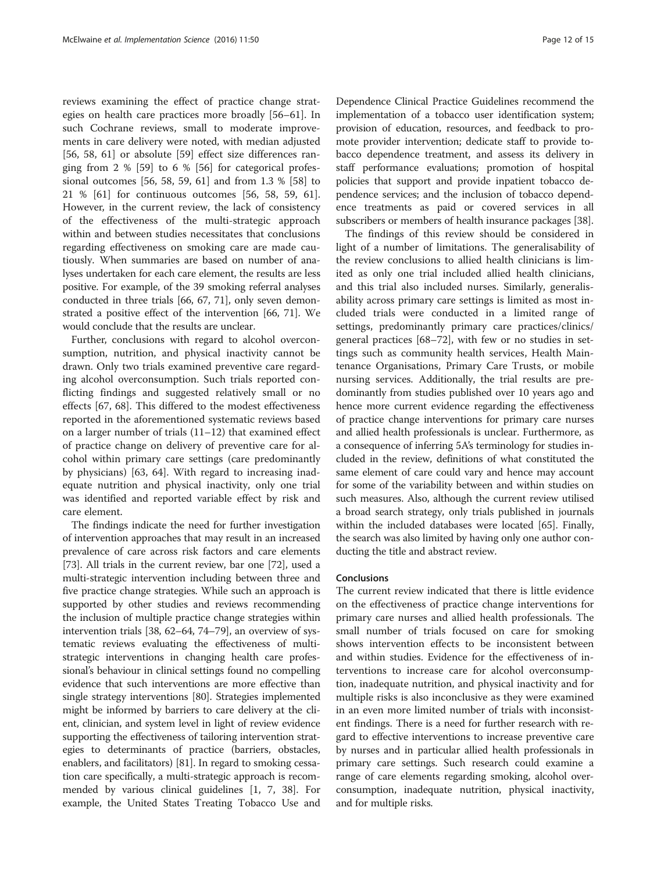reviews examining the effect of practice change strategies on health care practices more broadly [\[56](#page-13-0)–[61\]](#page-13-0). In such Cochrane reviews, small to moderate improvements in care delivery were noted, with median adjusted [[56, 58, 61\]](#page-13-0) or absolute [[59\]](#page-13-0) effect size differences ranging from 2 % [\[59](#page-13-0)] to 6 % [\[56\]](#page-13-0) for categorical professional outcomes [[56](#page-13-0), [58, 59, 61](#page-13-0)] and from 1.3 % [[58](#page-13-0)] to 21 % [[61](#page-13-0)] for continuous outcomes [[56, 58](#page-13-0), [59, 61](#page-13-0)]. However, in the current review, the lack of consistency of the effectiveness of the multi-strategic approach within and between studies necessitates that conclusions regarding effectiveness on smoking care are made cautiously. When summaries are based on number of analyses undertaken for each care element, the results are less positive. For example, of the 39 smoking referral analyses conducted in three trials [[66](#page-13-0), [67, 71\]](#page-13-0), only seven demonstrated a positive effect of the intervention [[66](#page-13-0), [71](#page-13-0)]. We would conclude that the results are unclear.

Further, conclusions with regard to alcohol overconsumption, nutrition, and physical inactivity cannot be drawn. Only two trials examined preventive care regarding alcohol overconsumption. Such trials reported conflicting findings and suggested relatively small or no effects [\[67](#page-13-0), [68](#page-13-0)]. This differed to the modest effectiveness reported in the aforementioned systematic reviews based on a larger number of trials (11–12) that examined effect of practice change on delivery of preventive care for alcohol within primary care settings (care predominantly by physicians) [\[63, 64\]](#page-13-0). With regard to increasing inadequate nutrition and physical inactivity, only one trial was identified and reported variable effect by risk and care element.

The findings indicate the need for further investigation of intervention approaches that may result in an increased prevalence of care across risk factors and care elements [[73](#page-13-0)]. All trials in the current review, bar one [\[72\]](#page-13-0), used a multi-strategic intervention including between three and five practice change strategies. While such an approach is supported by other studies and reviews recommending the inclusion of multiple practice change strategies within intervention trials [[38](#page-13-0), [62](#page-13-0)–[64](#page-13-0), [74](#page-13-0)–[79\]](#page-14-0), an overview of systematic reviews evaluating the effectiveness of multistrategic interventions in changing health care professional's behaviour in clinical settings found no compelling evidence that such interventions are more effective than single strategy interventions [\[80\]](#page-14-0). Strategies implemented might be informed by barriers to care delivery at the client, clinician, and system level in light of review evidence supporting the effectiveness of tailoring intervention strategies to determinants of practice (barriers, obstacles, enablers, and facilitators) [\[81](#page-14-0)]. In regard to smoking cessation care specifically, a multi-strategic approach is recommended by various clinical guidelines [\[1](#page-12-0), [7](#page-12-0), [38](#page-13-0)]. For example, the United States Treating Tobacco Use and

Dependence Clinical Practice Guidelines recommend the implementation of a tobacco user identification system; provision of education, resources, and feedback to promote provider intervention; dedicate staff to provide tobacco dependence treatment, and assess its delivery in staff performance evaluations; promotion of hospital policies that support and provide inpatient tobacco dependence services; and the inclusion of tobacco dependence treatments as paid or covered services in all subscribers or members of health insurance packages [\[38\]](#page-13-0).

The findings of this review should be considered in light of a number of limitations. The generalisability of the review conclusions to allied health clinicians is limited as only one trial included allied health clinicians, and this trial also included nurses. Similarly, generalisability across primary care settings is limited as most included trials were conducted in a limited range of settings, predominantly primary care practices/clinics/ general practices [[68](#page-13-0)–[72](#page-13-0)], with few or no studies in settings such as community health services, Health Maintenance Organisations, Primary Care Trusts, or mobile nursing services. Additionally, the trial results are predominantly from studies published over 10 years ago and hence more current evidence regarding the effectiveness of practice change interventions for primary care nurses and allied health professionals is unclear. Furthermore, as a consequence of inferring 5A's terminology for studies included in the review, definitions of what constituted the same element of care could vary and hence may account for some of the variability between and within studies on such measures. Also, although the current review utilised a broad search strategy, only trials published in journals within the included databases were located [\[65\]](#page-13-0). Finally, the search was also limited by having only one author conducting the title and abstract review.

## Conclusions

The current review indicated that there is little evidence on the effectiveness of practice change interventions for primary care nurses and allied health professionals. The small number of trials focused on care for smoking shows intervention effects to be inconsistent between and within studies. Evidence for the effectiveness of interventions to increase care for alcohol overconsumption, inadequate nutrition, and physical inactivity and for multiple risks is also inconclusive as they were examined in an even more limited number of trials with inconsistent findings. There is a need for further research with regard to effective interventions to increase preventive care by nurses and in particular allied health professionals in primary care settings. Such research could examine a range of care elements regarding smoking, alcohol overconsumption, inadequate nutrition, physical inactivity, and for multiple risks.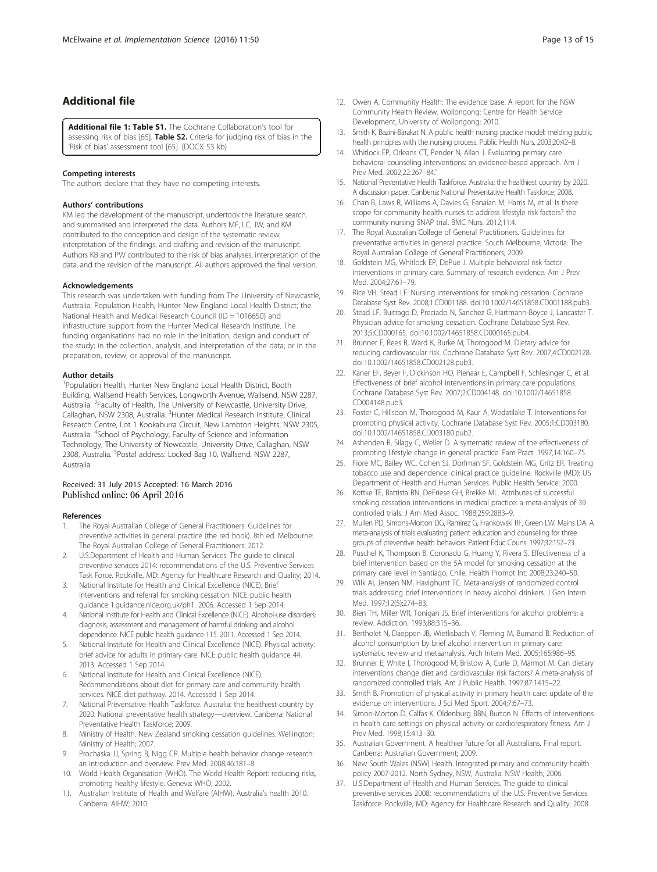## <span id="page-12-0"></span>Additional file

[Additional file 1: Table S1.](dx.doi.org/10.1186/s13012-016-0409-3) The Cochrane Collaboration's tool for assessing risk of bias [[65\]](#page-13-0). Table S2. Criteria for judging risk of bias in the 'Risk of bias' assessment tool [\[65](#page-13-0)]. (DOCX 53 kb)

## Competing interests

The authors declare that they have no competing interests.

#### Authors' contributions

KM led the development of the manuscript, undertook the literature search, and summarised and interpreted the data. Authors MF, LC, JW, and KM contributed to the conception and design of the systematic review, interpretation of the findings, and drafting and revision of the manuscript. Authors KB and PW contributed to the risk of bias analyses, interpretation of the data, and the revision of the manuscript. All authors approved the final version.

#### Acknowledgements

This research was undertaken with funding from The University of Newcastle, Australia; Population Health, Hunter New England Local Health District; the National Health and Medical Research Council (ID = 1016650) and infrastructure support from the Hunter Medical Research Institute. The funding organisations had no role in the initiation, design and conduct of the study; in the collection, analysis, and interpretation of the data; or in the preparation, review, or approval of the manuscript.

#### Author details

<sup>1</sup> Population Health, Hunter New England Local Health District, Booth Building, Wallsend Health Services, Longworth Avenue, Wallsend, NSW 2287, Australia. <sup>2</sup>Faculty of Health, The University of Newcastle, University Drive, Callaghan, NSW 2308, Australia. <sup>3</sup>Hunter Medical Research Institute, Clinical Research Centre, Lot 1 Kookaburra Circuit, New Lambton Heights, NSW 2305, Australia. <sup>4</sup>School of Psychology, Faculty of Science and Information Technology, The University of Newcastle, University Drive, Callaghan, NSW 2308, Australia. <sup>5</sup>Postal address: Locked Bag 10, Wallsend, NSW 2287, Australia.

#### Received: 31 July 2015 Accepted: 16 March 2016 Published online: 06 April 2016

#### References

- 1. The Royal Australian College of General Practitioners. Guidelines for preventive activities in general practice (the red book). 8th ed. Melbourne: The Royal Australian College of General Practitioners; 2012.
- 2. U.S.Department of Health and Human Services. The guide to clinical preventive services 2014: recommendations of the U.S. Preventive Services Task Force. Rockville, MD: Agency for Healthcare Research and Quality; 2014.
- 3. National Institute for Health and Clinical Excellence (NICE). Brief interventions and referral for smoking cessation: NICE public health guidance 1.guidance.nice.org.uk/ph1. 2006. Accessed 1 Sep 2014.
- 4. National Institute for Health and Clinical Excellence (NICE). Alcohol-use disorders: diagnosis, assessment and management of harmful drinking and alcohol dependence. NICE public health guidance 115. 2011. Accessed 1 Sep 2014.
- 5. National Institute for Health and Clinical Excellence (NICE). Physical activity: brief advice for adults in primary care. NICE public health guidance 44. 2013. Accessed 1 Sep 2014.
- 6. National Institute for Health and Clinical Excellence (NICE). Recommendations about diet for primary care and community health services. NICE diet pathway. 2014. Accessed 1 Sep 2014.
- 7. National Preventative Health Taskforce. Australia: the healthiest country by 2020. National preventative health strategy—overview. Canberra: National Preventative Health Taskforce; 2009.
- 8. Ministry of Health. New Zealand smoking cessation guidelines. Wellington: Ministry of Health; 2007.
- 9. Prochaska JJ, Spring B, Nigg CR. Multiple health behavior change research: an introduction and overview. Prev Med. 2008;46:181–8.
- 10. World Health Organisation (WHO). The World Health Report: reducing risks, promoting healthy lifestyle. Geneva: WHO; 2002.
- 11. Australian Institute of Health and Welfare (AIHW). Australia's health 2010. Canberra: AIHW; 2010.
- 12. Owen A. Community Health: The evidence base. A report for the NSW Community Health Review. Wollongong: Centre for Health Service Development, University of Wollongong; 2010.
- 13. Smith K, Bazini-Barakat N. A public health nursing practice model: melding public health principles with the nursing process. Public Health Nurs. 2003;20:42–8.
- 14. Whitlock EP, Orleans CT, Pender N, Allan J. Evaluating primary care behavioral counseling interventions: an evidence-based approach. Am J Prev Med. 2002;22:267-84"
- 15. National Preventative Health Taskforce. Australia: the healthiest country by 2020. A discussion paper. Canberra: National Preventative Health Taskforce; 2008.
- 16. Chan B, Laws R, Williams A, Davies G, Fanaian M, Harris M, et al. Is there scope for community health nurses to address lifestyle risk factors? the community nursing SNAP trial. BMC Nurs. 2012;11:4.
- 17. The Royal Australian College of General Practitioners. Guidelines for preventative activities in general practice. South Melbourne, Victoria: The Royal Australian College of General Practitioners; 2009.
- 18. Goldstein MG, Whitlock EP, DePue J. Multiple behavioral risk factor interventions in primary care. Summary of research evidence. Am J Prev Med. 2004;27:61–79.
- 19. Rice VH, Stead LF. Nursing interventions for smoking cessation. Cochrane Database Syst Rev. 2008;1:CD001188. doi:[10.1002/14651858.CD001188.pub3.](http://dx.doi.org/10.1002/14651858.CD001188.pub3)
- 20. Stead LF, Buitrago D, Preciado N, Sanchez G, Hartmann-Boyce J, Lancaster T. Physician advice for smoking cessation. Cochrane Database Syst Rev. 2013;5:CD000165. doi:[10.1002/14651858.CD000165.pub4.](http://dx.doi.org/10.1002/14651858.CD000165.pub4)
- 21. Brunner E, Rees R, Ward K, Burke M, Thorogood M. Dietary advice for reducing cardiovascular risk. Cochrane Database Syst Rev. 2007;4:CD002128. doi[:10.1002/14651858.CD002128.pub3.](http://dx.doi.org/10.1002/14651858.CD002128.pub3)
- 22. Kaner EF, Beyer F, Dickinson HO, Pienaar E, Campbell F, Schlesinger C, et al. Effectiveness of brief alcohol interventions in primary care populations. Cochrane Database Syst Rev. 2007;2:CD004148. doi[:10.1002/14651858.](http://dx.doi.org/10.1002/14651858.CD004148.pub3) [CD004148.pub3.](http://dx.doi.org/10.1002/14651858.CD004148.pub3)
- 23. Foster C, Hillsdon M, Thorogood M, Kaur A, Wedatilake T. Interventions for promoting physical activity. Cochrane Database Syst Rev. 2005;1:CD003180. doi[:10.1002/14651858.CD003180.pub2.](http://dx.doi.org/10.1002/14651858.CD003180.pub2)
- 24. Ashenden R, Silagy C, Weller D. A systematic review of the effectiveness of promoting lifestyle change in general practice. Fam Pract. 1997;14:160–75.
- 25. Fiore MC, Bailey WC, Cohen SJ, Dorfman SF, Goldstein MG, Gritz ER. Treating tobacco use and dependence: clinical practice guideline. Rockville (MD): US Department of Health and Human Services. Public Health Service; 2000.
- 26. Kottke TE, Battista RN, DeFriese GH, Brekke ML. Attributes of successful smoking cessation interventions in medical practice: a meta-analysis of 39 controlled trials. J Am Med Assoc. 1988;259:2883–9.
- 27. Mullen PD, Simons-Morton DG, Ramirez G, Frankowski RF, Green LW, Mains DA. A meta-analysis of trials evaluating patient education and counseling for three groups of preventive health behaviors. Patient Educ Couns. 1997;32:157–73.
- 28. Puschel K, Thompson B, Coronado G, Huang Y, Rivera S. Effectiveness of a brief intervention based on the 5A model for smoking cessation at the primary care level in Santiago, Chile. Health Promot Int. 2008;23:240–50.
- 29. Wilk AI, Jensen NM, Havighurst TC. Meta-analysis of randomized control trials addressing brief interventions in heavy alcohol drinkers. J Gen Intern Med. 1997;12(5):274–83.
- 30. Bien TH, Miller WR, Tonigan JS. Brief interventions for alcohol problems: a review. Addiction. 1993;88:315–36.
- 31. Bertholet N, Daeppen JB, Wietlisbach V, Fleming M, Burnand B. Reduction of alcohol consumption by brief alcohol intervention in primary care: systematic review and metaanalysis. Arch Intern Med. 2005;165:986–95.
- 32. Brunner E, White I, Thorogood M, Bristow A, Curle D, Marmot M. Can dietary interventions change diet and cardiovascular risk factors? A meta-analysis of randomized controlled trials. Am J Public Health. 1997;87:1415–22.
- 33. Smith B. Promotion of physical activity in primary health care: update of the evidence on interventions. J Sci Med Sport. 2004;7:67–73.
- 34. Simon-Morton D, Calfas K, Oldenburg BBN, Burton N. Effects of interventions in health care settings on physical activity or cardiorespiratory fitness. Am J Prev Med. 1998;15:413–30.
- 35. Australian Government. A healthier future for all Australians. Final report. Canberra: Australian Government; 2009.
- 36. New South Wales (NSW) Health. Integrated primary and community health policy 2007-2012. North Sydney, NSW, Australia: NSW Health; 2006.
- 37. U.S.Department of Health and Human Services. The guide to clinical preventive services 2008: recommendations of the U.S. Preventive Services Taskforce. Rockville, MD: Agency for Healthcare Research and Quality; 2008.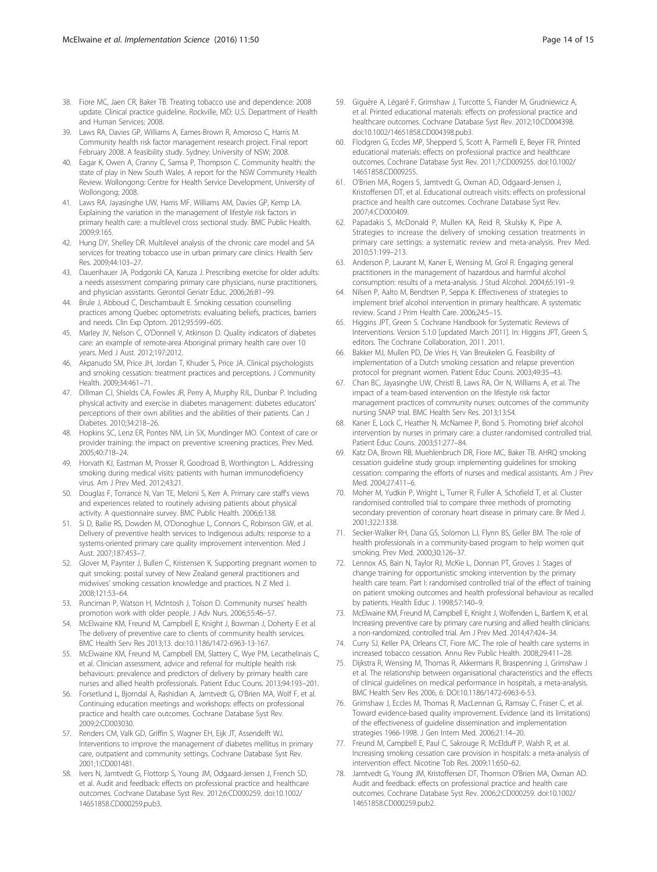- <span id="page-13-0"></span>38. Fiore MC, Jaen CR, Baker TB. Treating tobacco use and dependence: 2008 update. Clinical practice guideline. Rockville, MD: U.S. Department of Health and Human Services; 2008.
- 39. Laws RA, Davies GP, Williams A, Eames-Brown R, Amoroso C, Harris M. Community health risk factor management research project. Final report February 2008. A feasibility study. Sydney: University of NSW; 2008.
- 40. Eagar K, Owen A, Cranny C, Samsa P, Thompson C. Community health: the state of play in New South Wales. A report for the NSW Community Health Review. Wollongong: Centre for Health Service Development, University of Wollongong: 2008.
- 41. Laws RA, Jayasinghe UW, Harris MF, Williams AM, Davies GP, Kemp LA. Explaining the variation in the management of lifestyle risk factors in primary health care: a multilevel cross sectional study. BMC Public Health. 2009;9:165.
- 42. Hung DY, Shelley DR. Multilevel analysis of the chronic care model and 5A services for treating tobacco use in urban primary care clinics. Health Serv Res. 2009;44:103–27.
- 43. Dauenhauer JA, Podgorski CA, Karuza J. Prescribing exercise for older adults: a needs assessment comparing primary care physicians, nurse practitioners, and physician assistants. Gerontol Geriatr Educ. 2006;26:81–99.
- 44. Brule J, Abboud C, Deschambault E. Smoking cessation counselling practices among Quebec optometrists: evaluating beliefs, practices, barriers and needs. Clin Exp Optom. 2012;95:599–605.
- 45. Marley JV, Nelson C, O'Donnell V, Atkinson D. Quality indicators of diabetes care: an example of remote-area Aboriginal primary health care over 10 years. Med J Aust. 2012;197:2012.
- 46. Akpanudo SM, Price JH, Jordan T, Khuder S, Price JA. Clinical psychologists and smoking cessation: treatment practices and perceptions. J Community Health. 2009;34:461–71.
- 47. Dillman CJ, Shields CA, Fowles JR, Perry A, Murphy RJL, Dunbar P. Including physical activity and exercise in diabetes management: diabetes educators' perceptions of their own abilities and the abilities of their patients. Can J Diabetes. 2010;34:218–26.
- 48. Hopkins SC, Lenz ER, Pontes NM, Lin SX, Mundinger MO. Context of care or provider training: the impact on preventive screening practices. Prev Med. 2005;40:718–24.
- 49. Horvath KJ, Eastman M, Prosser R, Goodroad B, Worthington L. Addressing smoking during medical visits: patients with human immunodeficiency virus. Am J Prev Med. 2012;43:21.
- 50. Douglas F, Torrance N, Van TE, Meloni S, Kerr A. Primary care staff's views and experiences related to routinely advising patients about physical activity. A questionnaire survey. BMC Public Health. 2006;6:138.
- 51. Si D, Bailie RS, Dowden M, O'Donoghue L, Connors C, Robinson GW, et al. Delivery of preventive health services to Indigenous adults: response to a systems-oriented primary care quality improvement intervention. Med J Aust. 2007;187:453–7.
- 52. Glover M, Paynter J, Bullen C, Kristensen K. Supporting pregnant women to quit smoking: postal survey of New Zealand general practitioners and midwives' smoking cessation knowledge and practices. N Z Med J. 2008;121:53–64.
- 53. Runciman P, Watson H, McIntosh J, Tolson D. Community nurses' health promotion work with older people. J Adv Nurs. 2006;55:46–57.
- 54. McElwaine KM, Freund M, Campbell E, Knight J, Bowman J, Doherty E et al. The delivery of preventive care to clients of community health services. BMC Health Serv Res 2013;13. doi:[10.1186/1472-6963-13-167](http://dx.doi.org/10.1186/1472-6963-13-167).
- 55. McElwaine KM, Freund M, Campbell EM, Slattery C, Wye PM, Lecathelinais C, et al. Clinician assessment, advice and referral for multiple health risk behaviours: prevalence and predictors of delivery by primary health care nurses and allied health professionals. Patient Educ Couns. 2013;94:193–201.
- 56. Forsetlund L, Bjorndal A, Rashidian A, Jamtvedt G, O'Brien MA, Wolf F, et al. Continuing education meetings and workshops: effects on professional practice and health care outcomes. Cochrane Database Syst Rev. 2009;2:CD003030.
- 57. Renders CM, Valk GD, Griffin S, Wagner EH, Eijk JT, Assendelft WJ. Interventions to improve the management of diabetes mellitus in primary care, outpatient and community settings. Cochrane Database Syst Rev. 2001;1:CD001481.
- 58. Ivers N, Jamtvedt G, Flottorp S, Young JM, Odgaard-Jensen J, French SD, et al. Audit and feedback: effects on professional practice and healthcare outcomes. Cochrane Database Syst Rev. 2012;6:CD000259. doi:[10.1002/](http://dx.doi.org/10.1002/14651858.CD000259.pub3) [14651858.CD000259.pub3](http://dx.doi.org/10.1002/14651858.CD000259.pub3).
- 59. Giguère A, Légaré F, Grimshaw J, Turcotte S, Fiander M, Grudniewicz A, et al. Printed educational materials: effects on professional practice and healthcare outcomes. Cochrane Database Syst Rev. 2012;10:CD004398. doi[:10.1002/14651858.CD004398.pub3.](http://dx.doi.org/10.1002/14651858.CD004398.pub3)
- 60. Flodgren G, Eccles MP, Shepperd S, Scott A, Parmelli E, Beyer FR. Printed educational materials: effects on professional practice and healthcare outcomes. Cochrane Database Syst Rev. 2011;7:CD009255. doi:[10.1002/](http://dx.doi.org/10.1002/14651858.CD009255) [14651858.CD009255](http://dx.doi.org/10.1002/14651858.CD009255).
- 61. O'Brien MA, Rogers S, Jamtvedt G, Oxman AD, Odgaard-Jensen J, Kristoffersen DT, et al. Educational outreach visits: effects on professional practice and health care outcomes. Cochrane Database Syst Rev. 2007;4:CD000409.
- 62. Papadakis S, McDonald P, Mullen KA, Reid R, Skulsky K, Pipe A. Strategies to increase the delivery of smoking cessation treatments in primary care settings: a systematic review and meta-analysis. Prev Med. 2010;51:199–213.
- 63. Anderson P, Laurant M, Kaner E, Wensing M, Grol R. Engaging general practitioners in the management of hazardous and harmful alcohol consumption: results of a meta-analysis. J Stud Alcohol. 2004;65:191–9.
- 64. Nilsen P, Aalto M, Bendtsen P, Seppa K. Effectiveness of strategies to implement brief alcohol intervention in primary healthcare. A systematic review. Scand J Prim Health Care. 2006;24:5–15.
- 65. Higgins JPT, Green S. Cochrane Handbook for Systematic Reviews of Interventions. Version 5.1.0 [updated March 2011]. In: Higgins JPT, Green S, editors. The Cochrane Collaboration, 2011. 2011.
- 66. Bakker MJ, Mullen PD, De Vries H, Van Breukelen G. Feasibility of implementation of a Dutch smoking cessation and relapse prevention protocol for pregnant women. Patient Educ Couns. 2003;49:35–43.
- 67. Chan BC, Jayasinghe UW, Christl B, Laws RA, Orr N, Williams A, et al. The impact of a team-based intervention on the lifestyle risk factor management practices of community nurses: outcomes of the community nursing SNAP trial. BMC Health Serv Res. 2013;13:54.
- 68. Kaner E, Lock C, Heather N, McNamee P, Bond S. Promoting brief alcohol intervention by nurses in primary care: a cluster randomised controlled trial. Patient Educ Couns. 2003;51:277–84.
- 69. Katz DA, Brown RB, Muehlenbruch DR, Fiore MC, Baker TB. AHRQ smoking cessation guideline study group: implementing guidelines for smoking cessation: comparing the efforts of nurses and medical assistants. Am J Prev Med. 2004;27:411–6.
- 70. Moher M, Yudkin P, Wright L, Turner R, Fuller A, Schofield T, et al. Cluster randomised controlled trial to compare three methods of promoting secondary prevention of coronary heart disease in primary care. Br Med J. 2001;322:1338.
- 71. Secker-Walker RH, Dana GS, Solomon LJ, Flynn BS, Geller BM. The role of health professionals in a community-based program to help women quit smoking. Prev Med. 2000;30:126–37.
- 72. Lennox AS, Bain N, Taylor RJ, McKie L, Donnan PT, Groves J. Stages of change training for opportunistic smoking intervention by the primary health care team. Part I: randomised controlled trial of the effect of training on patient smoking outcomes and health professional behaviour as recalled by patients. Health Educ J. 1998;57:140–9.
- 73. McElwaine KM, Freund M, Campbell E, Knight J, Wolfenden L, Bartlem K, et al. Increasing preventive care by primary care nursing and allied health clinicians: a non-randomized, controlled trial. Am J Prev Med. 2014;47:424–34.
- 74. Curry SJ, Keller PA, Orleans CT, Fiore MC. The role of health care systems in increased tobacco cessation. Annu Rev Public Health. 2008;29:411–28.
- 75. Dijkstra R, Wensing M, Thomas R, Akkermans R, Braspenning J, Grimshaw J et al. The relationship between organisational characteristics and the effects of clinical guidelines on medical performance in hospitals, a meta-analysis. BMC Health Serv Res 2006, 6: DOI:10.1186/1472-6963-6-53.
- 76. Grimshaw J, Eccles M, Thomas R, MacLennan G, Ramsay C, Fraser C, et al. Toward evidence-based quality improvement. Evidence (and its limitations) of the effectiveness of guideline dissemination and implementation strategies 1966-1998. J Gen Intern Med. 2006;21:14–20.
- 77. Freund M, Campbell E, Paul C, Sakrouge R, McElduff P, Walsh R, et al. Increasing smoking cessation care provision in hospitals: a meta-analysis of intervention effect. Nicotine Tob Res. 2009;11:650–62.
- 78. Jamtvedt G, Young JM, Kristoffersen DT, Thomson O'Brien MA, Oxman AD. Audit and feedback: effects on professional practice and health care outcomes. Cochrane Database Syst Rev. 2006;2:CD000259. doi:[10.1002/](http://dx.doi.org/10.1002/14651858.CD000259.pub2) [14651858.CD000259.pub2](http://dx.doi.org/10.1002/14651858.CD000259.pub2).